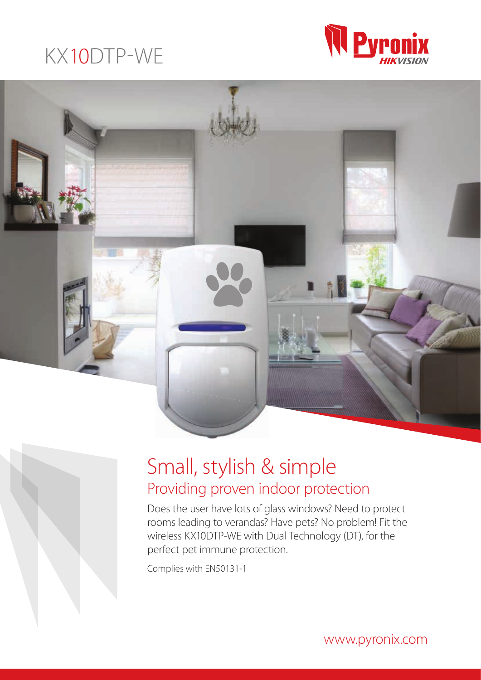# KX10DTP-WE





# Small, stylish & simple Providing proven indoor protection

Does the user have lots of glass windows? Need to protect rooms leading to verandas? Have pets? No problem! Fit the wireless KX10DTP-WE with Dual Technology (DT), for the perfect pet immune protection.

Complies with EN50131-1